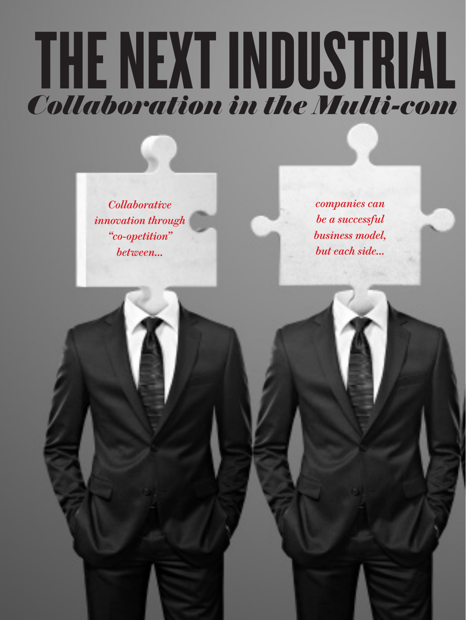## *Collaboration in the Multi-com* THE NEXT INDUSTRIAL

*Collaborative innovation through "co-opetition" between...* 

*companies can be a successful business model, but each side...*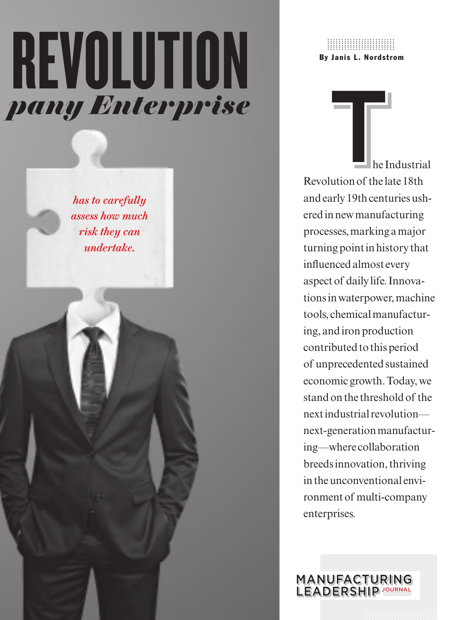# *Collaboration in the Multi-com pany Enterprise* REVOLUTION

*has to carefully assess how much risk they can undertake.*

By Janis L. Nordstrom ........................ ........................ ........................ ........................ ........................

 he Industrial Revolution of the late 18th andearly 19th centuries ushered in new manufacturing processes, marking a major turning point in history that influenced almost every aspect of daily life. Innovations in waterpower, machine tools, chemical manufacturing, and iron production contributed to this period of unprecedented sustained economic growth. Today, we stand on the threshold of the next industrial revolution next-generation manufacturing—where collaboration breeds innovation, thriving in the unconventional environment of multi-company enterprises.  $\begin{array}{c} \begin{array}{c} \begin{array}{c} \end{array} \\ \begin{array}{c} \end{array} \\ \begin{array}{c} \end{array} \\ \begin{array}{c} \end{array} \\ \begin{array}{c} \end{array} \\ \begin{array}{c} \end{array} \\ \begin{array}{c} \end{array} \\ \begin{array}{c} \end{array} \end{array}$ 

MANUFACTURING LEADERSHIP<sup>IOURNAL</sup>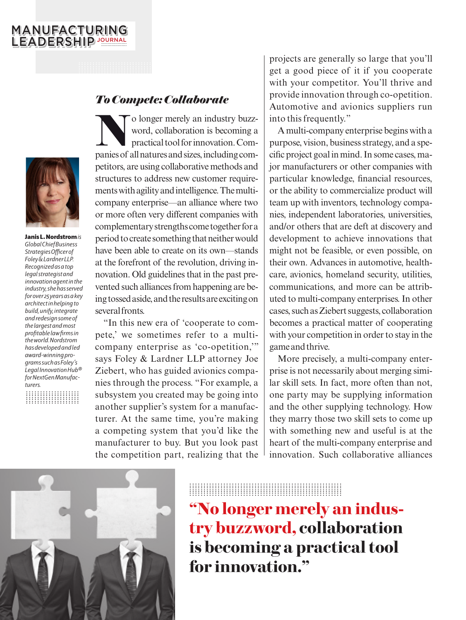#### MANUFACTURING LEADERSHIP <sup>JOURNAL</sup>



Janis L. Nordstrom *is Global Chief Business Strategies Officer of Foley & Lardner LLP. Recognized as a top legal strategist and innovation agent in the industry, she has served for over 25 years as a key architect in helping to build, unify, integrate and redesign some of the largest and most profitable law firms in the world. Nordstrom has developed and led award-winning programs such as Foley's Legal Innovation Hub® for NextGen Manufacturers.*

................... ................... ................... ................... ................... ................... ...................

#### *To Compete: Collaborate*

solonger merely an industry buzz-<br>word, collaboration is becoming a<br>practical tool for innovation. Com-<br>papies of all natures and sizes, including comword, collaboration is becoming a practical tool for innovation. Companies of all natures and sizes, including competitors, are using collaborative methods and structures to address new customer requirements with agility and intelligence. The multicompany enterprise—an alliance where two or more often very different companies with complementary strengths come together for a period to create something that neither would have been able to create on its own—stands at the forefront of the revolution, driving innovation. Old guidelines that in the past prevented such alliances from happening are being tossed aside, and the results are exciting on several fronts.

"In this new era of 'cooperate to compete,' we sometimes refer to a multicompany enterprise as 'co-opetition,'" says Foley & Lardner LLP attorney Joe Ziebert, who has guided avionics companies through the process. "For example, a subsystem you created may be going into another supplier's system for a manufacturer. At the same time, you're making a competing system that you'd like the manufacturer to buy. But you look past the competition part, realizing that the

projects are generally so large that you'll get a good piece of it if you cooperate with your competitor. You'll thrive and provide innovation through co-opetition. Automotive and avionics suppliers run into this frequently."

A multi-company enterprise begins with a purpose, vision, business strategy, and a specific project goal in mind. In some cases, major manufacturers or other companies with particular knowledge, financial resources, or the ability to commercialize product will team up with inventors, technology companies, independent laboratories, universities, and/or others that are deft at discovery and development to achieve innovations that might not be feasible, or even possible, on their own. Advances in automotive, healthcare, avionics, homeland security, utilities, communications, and more can be attributed to multi-company enterprises. In other cases, such as Ziebert suggests, collaboration becomes a practical matter of cooperating with your competition in order to stay in the game and thrive.

More precisely, a multi-company enterprise is not necessarily about merging similar skill sets. In fact, more often than not, one party may be supplying information and the other supplying technology. How they marry those two skill sets to come up with something new and useful is at the heart of the multi-company enterprise and innovation. Such collaborative alliances



### ...................................................... ...................................................... ...................................................... ...................................................... ...................................................... ...................................................... ......................................................

**"No longer merely an industry buzzword, collaboration is becoming a practical tool for innovation."**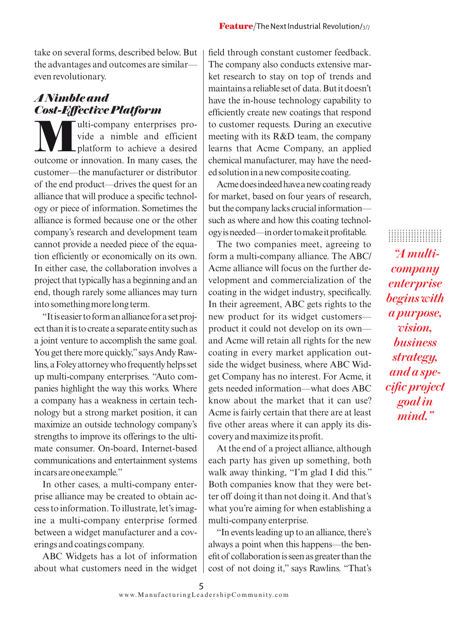take on several forms, described below. But the advantages and outcomes are similar even revolutionary.

#### *A Nimble and Cost-Effective Platform*

W ulti-company enterprises pro-<br>vide a nimble and efficient<br>platform to achieve a desired<br>quicome or innovation. In many cases, the vide a nimble and efficient platform to achieve a desired outcome or innovation. In many cases, the customer—the manufacturer or distributor of the end product—drives the quest for an alliance that will produce a specific technology or piece of information. Sometimes the alliance is formed because one or the other company's research and development team cannot provide a needed piece of the equation efficiently or economically on its own. In either case, the collaboration involves a project that typically has a beginning and an end, though rarely some alliances may turn into something more long term.

"It is easier to form an alliance for a set project than it is to create a separate entity such as a joint venture to accomplish the same goal. You get there more quickly," says Andy Rawlins, a Foley attorney who frequently helps set up multi-company enterprises. "Auto companies highlight the way this works. Where a company has a weakness in certain technology but a strong market position, it can maximize an outside technology company's strengths to improve its offerings to the ultimate consumer. On-board, Internet-based communications and entertainment systems in cars are one example."

In other cases, a multi-company enterprise alliance may be created to obtain access to information. To illustrate, let's imagine a multi-company enterprise formed between a widget manufacturer and a coverings and coatings company.

ABC Widgets has a lot of information about what customers need in the widget

field through constant customer feedback. The company also conducts extensive market research to stay on top of trends and maintains a reliable set of data. But it doesn't have the in-house technology capability to efficiently create new coatings that respond to customer requests. During an executive meeting with its R&D team, the company learns that Acme Company, an applied chemical manufacturer, may have the needed solution in a new composite coating.

Acme does indeed have a new coating ready for market, based on four years of research, but the company lacks crucial information such as where and how this coating technology is needed—in order to make it profitable.

The two companies meet, agreeing to form a multi-company alliance. The ABC/ Acme alliance will focus on the further development and commercialization of the coating in the widget industry, specifically. In their agreement, ABC gets rights to the new product for its widget customers product it could not develop on its own and Acme will retain all rights for the new coating in every market application outside the widget business, where ABC Widget Company has no interest. For Acme, it gets needed information—what does ABC know about the market that it can use? Acme is fairly certain that there are at least five other areas where it can apply its discovery and maximize its profit.

At the end of a project alliance, although each party has given up something, both walk away thinking, "I'm glad I did this." Both companies know that they were better off doing it than not doing it. And that's what you're aiming for when establishing a multi-company enterprise.

"In events leading up to an alliance, there's always a point when this happens—the benefit of collaboration is seen as greater than the cost of not doing it," says Rawlins. "That's

................... ................... ................... ................... ................... ................... ................... *"A multicompany enterprise begins with a purpose, vision, business strategy, and a specific project goal in mind."*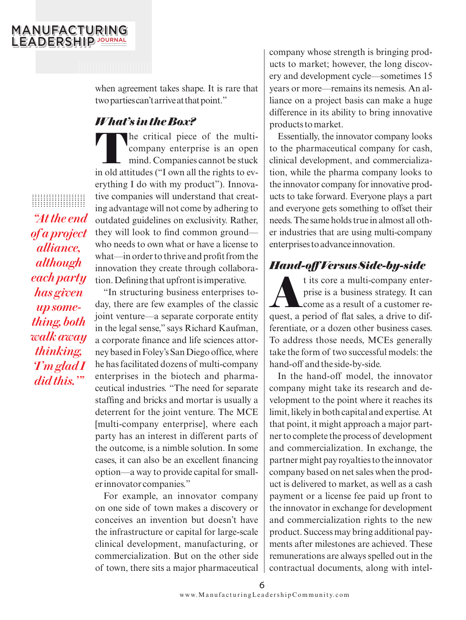#### MANUFACTURING LEADERSHIP <sup>JOURNAL</sup>

when agreement takes shape. It is rare that two parties can't arrive at that point."

#### *What's in the Box?*

**T**he critical piece of the multicompany enterprise is an open mind. Companies cannot be stuck in old attitudes ("I own all the rights to everything I do with my product"). Innovative companies will understand that creating advantage will not come by adhering to outdated guidelines on exclusivity. Rather, they will look to find common ground who needs to own what or have a license to what—in order to thrive and profit from the innovation they create through collaboration. Defining that upfront is imperative.

"In structuring business enterprises today, there are few examples of the classic joint venture—a separate corporate entity in the legal sense," says Richard Kaufman, a corporate finance and life sciences attorney based in Foley's San Diego office, where he has facilitated dozens of multi-company enterprises in the biotech and pharmaceutical industries. "The need for separate staffing and bricks and mortar is usually a deterrent for the joint venture. The MCE [multi-company enterprise], where each party has an interest in different parts of the outcome, is a nimble solution. In some cases, it can also be an excellent financing option—a way to provide capital for smaller innovator companies."

For example, an innovator company on one side of town makes a discovery or conceives an invention but doesn't have the infrastructure or capital for large-scale clinical development, manufacturing, or commercialization. But on the other side of town, there sits a major pharmaceutical company whose strength is bringing products to market; however, the long discovery and development cycle—sometimes 15 years or more—remains its nemesis. An alliance on a project basis can make a huge difference in its ability to bring innovative products to market.

Essentially, the innovator company looks to the pharmaceutical company for cash, clinical development, and commercialization, while the pharma company looks to the innovator company for innovative products to take forward. Everyone plays a part and everyone gets something to offset their needs. The same holds true in almost all other industries that are using multi-company enterprises to advance innovation.

#### *Hand-off Versus Side-by-side*

**A**t its core a multi-company enterprise is a business strategy. It can come as a result of a customer request, a period of flat sales, a drive to differentiate, or a dozen other business cases. To address those needs, MCEs generally take the form of two successful models: the hand-off and the side-by-side.

In the hand-off model, the innovator company might take its research and development to the point where it reaches its limit, likely in both capital and expertise. At that point, it might approach a major partner to complete the process of development and commercialization. In exchange, the partner might pay royalties to the innovator company based on net sales when the product is delivered to market, as well as a cash payment or a license fee paid up front to the innovator in exchange for development and commercialization rights to the new product. Success may bring additional payments after milestones are achieved. These remunerations are always spelled out in the contractual documents, along with intel-

................... ................... ................... ................... ................... ................... ................... *"At the end of a project alliance, although each party has given up something, both walk away thinking, 'I'm glad I did this.'"*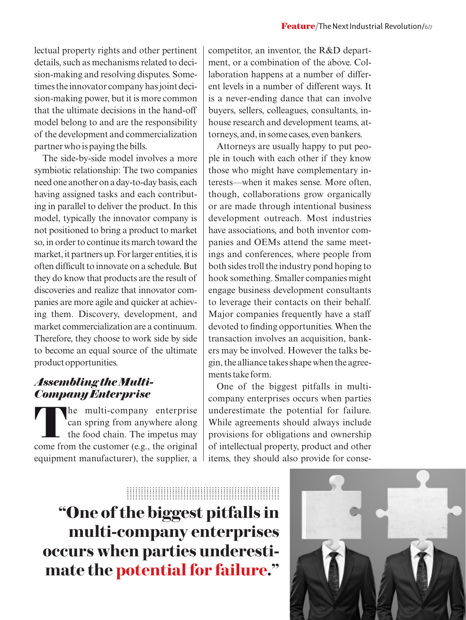lectual property rights and other pertinent details, such as mechanisms related to decision-making and resolving disputes. Sometimes the innovator company has joint decision-making power, but it is more common that the ultimate decisions in the hand-off model belong to and are the responsibility of the development and commercialization partner who is paying the bills.

The side-by-side model involves a more symbiotic relationship: The two companies need one another on a day-to-day basis, each having assigned tasks and each contributing in parallel to deliver the product. In this model, typically the innovator company is not positioned to bring a product to market so, in order to continue its march toward the market, it partners up. For larger entities, it is often difficult to innovate on a schedule. But they do know that products are the result of discoveries and realize that innovator companies are more agile and quicker at achieving them. Discovery, development, and market commercialization are a continuum. Therefore, they choose to work side by side to become an equal source of the ultimate product opportunities.

#### *Assembling the Multi-Company Enterprise*

The multi-company enterprise<br>can spring from anywhere along<br>the food chain. The impetus may can spring from anywhere along the food chain. The impetus may come from the customer (e.g., the original equipment manufacturer), the supplier, a

competitor, an inventor, the R&D department, or a combination of the above. Collaboration happens at a number of different levels in a number of different ways. It is a never-ending dance that can involve buyers, sellers, colleagues, consultants, inhouse research and development teams, attorneys, and, in some cases, even bankers.

Attorneys are usually happy to put people in touch with each other if they know those who might have complementary interests—when it makes sense. More often, though, collaborations grow organically or are made through intentional business development outreach. Most industries have associations, and both inventor companies and OEMs attend the same meetings and conferences, where people from both sides troll the industry pond hoping to hook something. Smaller companies might engage business development consultants to leverage their contacts on their behalf. Major companies frequently have a staff devoted to finding opportunities. When the transaction involves an acquisition, bankers may be involved. However the talks begin, the alliance takes shape when the agreements take form.

One of the biggest pitfalls in multicompany enterprises occurs when parties underestimate the potential for failure. While agreements should always include provisions for obligations and ownership of intellectual property, product and other items, they should also provide for conse-

**"One of the biggest pitfalls in multi-company enterprises occurs when parties underestimate the potential for failure."** ...................................................... ...................................................... ...................................................... ...................................................... ...................................................... ...................................................... ......................................................